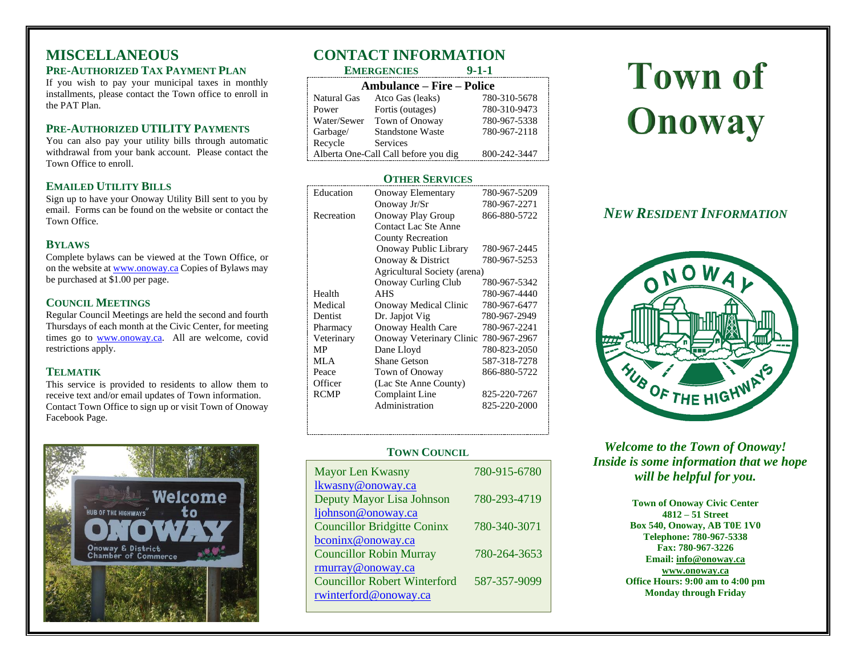## **MISCELLANEOUS PRE-AUTHORIZED TAX PAYMENT PLAN**

If you wish to pay your municipal taxes in monthly installments, please contact the Town office to enroll in the PAT Plan.

## **PRE-AUTHORIZED UTILITY PAYMENTS**

You can also pay your utility bills through automatic withdrawal from your bank account. Please contact the Town Office to enroll.

### **EMAILED UTILITY BILLS**

Sign up to have your Onoway Utility Bill sent to you by email. Forms can be found on the website or contact the Town Office.

### **BYLAWS**

Complete bylaws can be viewed at the Town Office, or on the website a[t www.onoway.ca](http://www.onoway.ca/) Copies of Bylaws may be purchased at \$1.00 per page.

## **COUNCIL MEETINGS**

Regular Council Meetings are held the second and fourth Thursdays of each month at the Civic Center, for meeting times go to [www.onoway.ca.](http://www.onoway.ca/) All are welcome, covid restrictions apply.

### **TELMATIK**

This service is provided to residents to allow them to receive text and/or email updates of Town information. Contact Town Office to sign up or visit Town of Onoway Facebook Page.



# **CONTACT INFORMATION**

|                                      | <b>EMERGENCIES</b>      | $9 - 1 - 1$  |  |  |
|--------------------------------------|-------------------------|--------------|--|--|
| <b>Ambulance – Fire – Police</b>     |                         |              |  |  |
| Natural Gas                          | Atco Gas (leaks)        | 780-310-5678 |  |  |
| Power                                | Fortis (outages)        | 780-310-9473 |  |  |
| Water/Sewer                          | Town of Onoway          | 780-967-5338 |  |  |
| Garbage/                             | <b>Standstone Waste</b> | 780-967-2118 |  |  |
| Recycle                              | Services                |              |  |  |
| Alberta One-Call Call before you dig |                         | 800-242-3447 |  |  |

## **OTHER SERVICES**

| Education   | Onoway Elementary            | 780-967-5209 |  |
|-------------|------------------------------|--------------|--|
|             | Onoway Jr/Sr                 | 780-967-2271 |  |
| Recreation  | Onoway Play Group            | 866-880-5722 |  |
|             | Contact Lac Ste Anne         |              |  |
|             | <b>County Recreation</b>     |              |  |
|             | Onoway Public Library        | 780-967-2445 |  |
|             | Onoway & District            | 780-967-5253 |  |
|             | Agricultural Society (arena) |              |  |
|             | <b>Onoway Curling Club</b>   | 780-967-5342 |  |
| Health      | <b>AHS</b>                   | 780-967-4440 |  |
| Medical     | Onoway Medical Clinic        | 780-967-6477 |  |
| Dentist     | Dr. Japjot Vig               | 780-967-2949 |  |
| Pharmacy    | Onoway Health Care           | 780-967-2241 |  |
| Veterinary  | Onoway Veterinary Clinic     | 780-967-2967 |  |
| MP          | Dane Lloyd                   | 780-823-2050 |  |
| MLA         | <b>Shane Getson</b>          | 587-318-7278 |  |
| Peace       | Town of Onoway               | 866-880-5722 |  |
| Officer     | (Lac Ste Anne County)        |              |  |
| <b>RCMP</b> | Complaint Line               | 825-220-7267 |  |
|             | Administration               | 825-220-2000 |  |
|             |                              |              |  |

### **TOWN COUNCIL**

| <b>Mayor Len Kwasny</b>                                      | 780-915-6780 |
|--------------------------------------------------------------|--------------|
| lkwasny@onoway.ca                                            |              |
| Deputy Mayor Lisa Johnson                                    | 780-293-4719 |
| ljohnson@onoway.ca                                           |              |
| <b>Councillor Bridgitte Coninx</b>                           | 780-340-3071 |
| bconinx@onoway.ca                                            |              |
| <b>Councillor Robin Murray</b>                               | 780-264-3653 |
| rmurray@onoway.ca                                            |              |
| <b>Councillor Robert Winterford</b><br>rwinterford@onoway.ca | 587-357-9099 |
|                                                              |              |

# **Town of Onoway**

## *NEW RESIDENT INFORMATION*



*Welcome to the Town of Onoway! Inside is some information that we hope will be helpful for you.*

> **Town of Onoway Civic Center 4812 – 51 Street Box 540, Onoway, AB T0E 1V0 Telephone: 780-967-5338 Fax: 780-967-3226 Email[: info@onoway.ca](mailto:info@onoway.ca) [www.onoway.ca](http://www.onoway.ca/) Office Hours: 9:00 am to 4:00 pm**

> > **Monday through Friday**